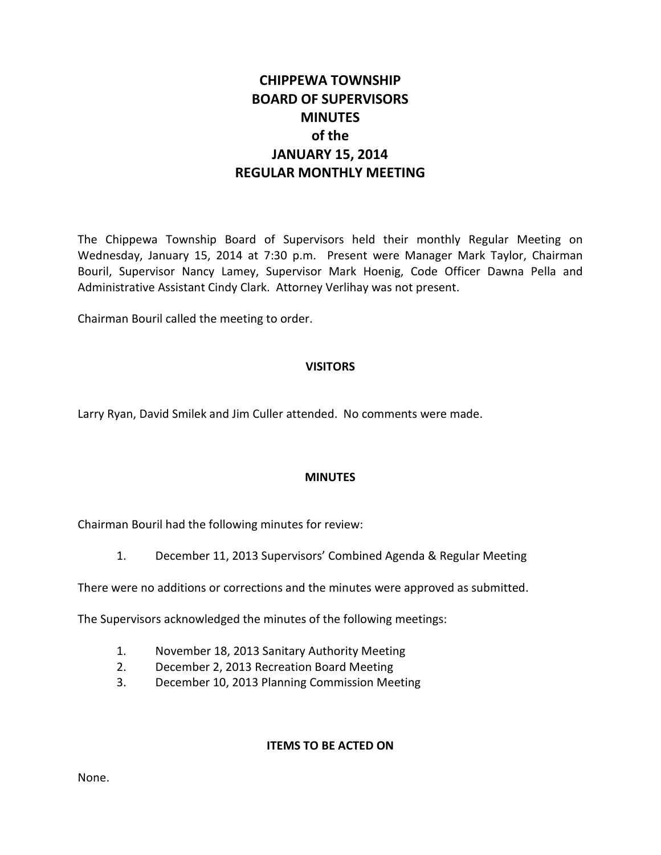# **CHIPPEWA TOWNSHIP BOARD OF SUPERVISORS MINUTES of the JANUARY 15, 2014 REGULAR MONTHLY MEETING**

The Chippewa Township Board of Supervisors held their monthly Regular Meeting on Wednesday, January 15, 2014 at 7:30 p.m. Present were Manager Mark Taylor, Chairman Bouril, Supervisor Nancy Lamey, Supervisor Mark Hoenig, Code Officer Dawna Pella and Administrative Assistant Cindy Clark. Attorney Verlihay was not present.

Chairman Bouril called the meeting to order.

# **VISITORS**

Larry Ryan, David Smilek and Jim Culler attended. No comments were made.

# **MINUTES**

Chairman Bouril had the following minutes for review:

1. December 11, 2013 Supervisors' Combined Agenda & Regular Meeting

There were no additions or corrections and the minutes were approved as submitted.

The Supervisors acknowledged the minutes of the following meetings:

- 1. November 18, 2013 Sanitary Authority Meeting
- 2. December 2, 2013 Recreation Board Meeting
- 3. December 10, 2013 Planning Commission Meeting

# **ITEMS TO BE ACTED ON**

None.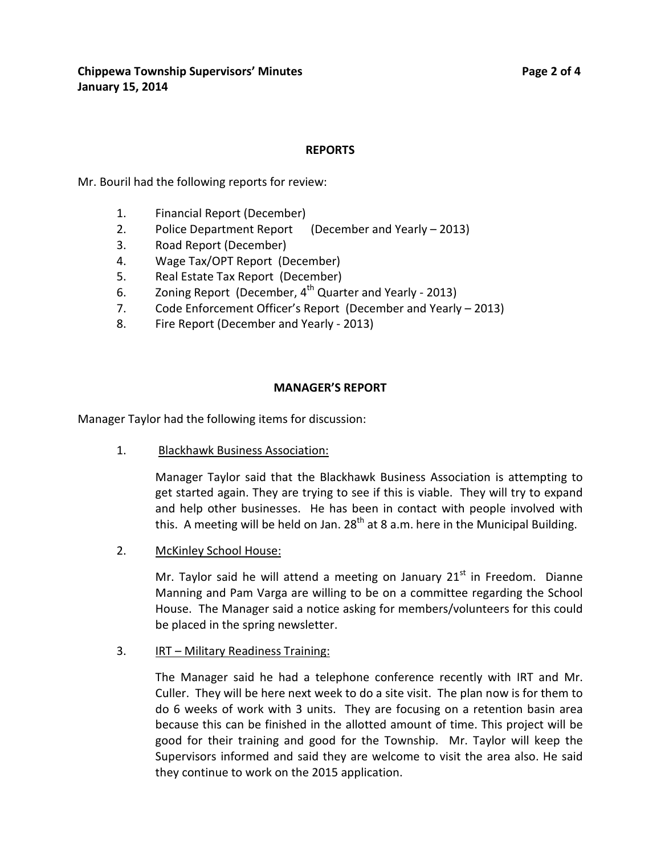# **REPORTS**

Mr. Bouril had the following reports for review:

- 1. Financial Report (December)
- 2. Police Department Report (December and Yearly 2013)
- 3. Road Report (December)
- 4. Wage Tax/OPT Report (December)
- 5. Real Estate Tax Report (December)
- 6. Zoning Report (December,  $4^{th}$  Quarter and Yearly 2013)
- 7. Code Enforcement Officer's Report (December and Yearly 2013)
- 8. Fire Report (December and Yearly 2013)

# **MANAGER'S REPORT**

Manager Taylor had the following items for discussion:

1. Blackhawk Business Association:

Manager Taylor said that the Blackhawk Business Association is attempting to get started again. They are trying to see if this is viable. They will try to expand and help other businesses. He has been in contact with people involved with this. A meeting will be held on Jan.  $28<sup>th</sup>$  at 8 a.m. here in the Municipal Building.

2. McKinley School House:

Mr. Taylor said he will attend a meeting on January  $21<sup>st</sup>$  in Freedom. Dianne Manning and Pam Varga are willing to be on a committee regarding the School House. The Manager said a notice asking for members/volunteers for this could be placed in the spring newsletter.

3. IRT – Military Readiness Training:

The Manager said he had a telephone conference recently with IRT and Mr. Culler. They will be here next week to do a site visit. The plan now is for them to do 6 weeks of work with 3 units. They are focusing on a retention basin area because this can be finished in the allotted amount of time. This project will be good for their training and good for the Township. Mr. Taylor will keep the Supervisors informed and said they are welcome to visit the area also. He said they continue to work on the 2015 application.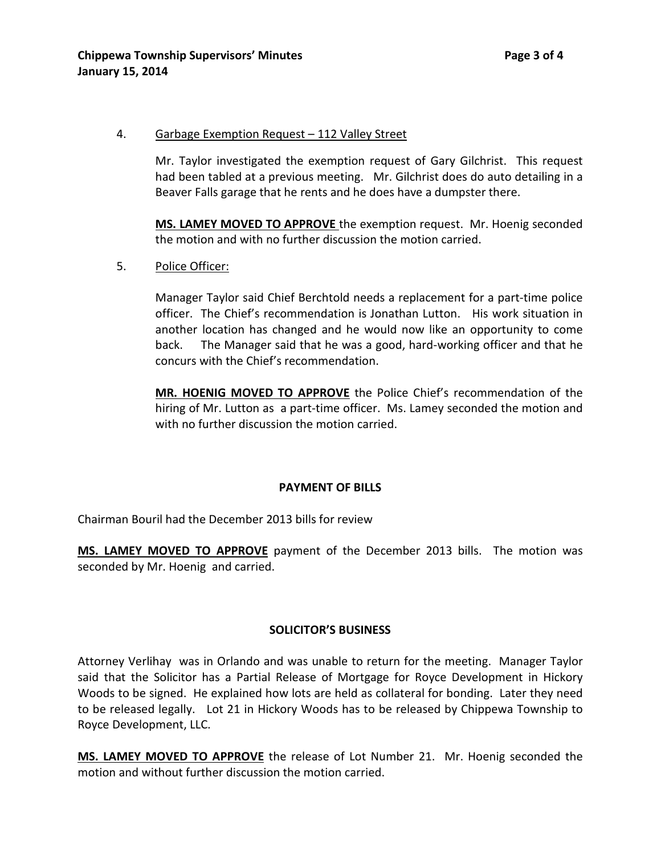#### 4. Garbage Exemption Request – 112 Valley Street

Mr. Taylor investigated the exemption request of Gary Gilchrist. This request had been tabled at a previous meeting. Mr. Gilchrist does do auto detailing in a Beaver Falls garage that he rents and he does have a dumpster there.

**MS. LAMEY MOVED TO APPROVE** the exemption request. Mr. Hoenig seconded the motion and with no further discussion the motion carried.

5. Police Officer:

Manager Taylor said Chief Berchtold needs a replacement for a part-time police officer. The Chief's recommendation is Jonathan Lutton. His work situation in another location has changed and he would now like an opportunity to come back. The Manager said that he was a good, hard-working officer and that he concurs with the Chief's recommendation.

**MR. HOENIG MOVED TO APPROVE** the Police Chief's recommendation of the hiring of Mr. Lutton as a part-time officer. Ms. Lamey seconded the motion and with no further discussion the motion carried.

# **PAYMENT OF BILLS**

Chairman Bouril had the December 2013 bills for review

**MS. LAMEY MOVED TO APPROVE** payment of the December 2013 bills. The motion was seconded by Mr. Hoenig and carried.

# **SOLICITOR'S BUSINESS**

Attorney Verlihay was in Orlando and was unable to return for the meeting. Manager Taylor said that the Solicitor has a Partial Release of Mortgage for Royce Development in Hickory Woods to be signed. He explained how lots are held as collateral for bonding. Later they need to be released legally. Lot 21 in Hickory Woods has to be released by Chippewa Township to Royce Development, LLC.

**MS. LAMEY MOVED TO APPROVE** the release of Lot Number 21. Mr. Hoenig seconded the motion and without further discussion the motion carried.